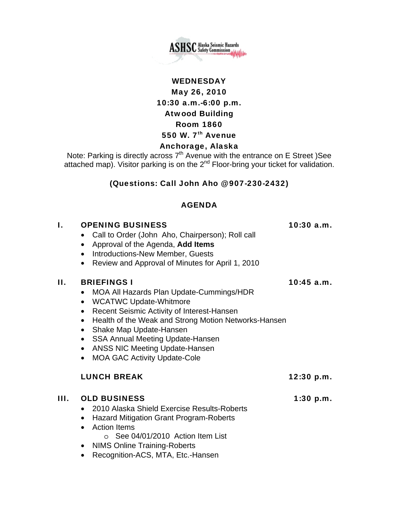

**ASHSC** Alaska Seismic Hazards

# 550 W.  $7<sup>th</sup>$  Avenue

# Anchorage, Alaska

Note: Parking is directly across  $7<sup>th</sup>$  Avenue with the entrance on E Street )See attached map). Visitor parking is on the  $2^{nd}$  Floor-bring your ticket for validation.

## (Questions: Call John Aho @ 907-230-2432)

#### AGENDA

#### I. OPENING BUSINESS 10:30 a.m.

- Call to Order (John Aho, Chairperson); Roll call
- Approval of the Agenda, **Add Items**
- Introductions-New Member, Guests
- Review and Approval of Minutes for April 1, 2010

#### II. BRIEFINGS I  $10:45$  a.m.

- MOA All Hazards Plan Update-Cummings/HDR
- WCATWC Update-Whitmore
- Recent Seismic Activity of Interest-Hansen
- Health of the Weak and Strong Motion Networks-Hansen
- Shake Map Update-Hansen
- SSA Annual Meeting Update-Hansen
- ANSS NIC Meeting Update-Hansen
- MOA GAC Activity Update-Cole

## LUNCH BREAK 12:30 p.m.

## III. OLD BUSINESS 1:30 p.m.

- 2010 Alaska Shield Exercise Results-Roberts
- Hazard Mitigation Grant Program-Roberts
- Action Items
	- o See 04/01/2010 Action Item List
- NIMS Online Training-Roberts
- Recognition-ACS, MTA, Etc.-Hansen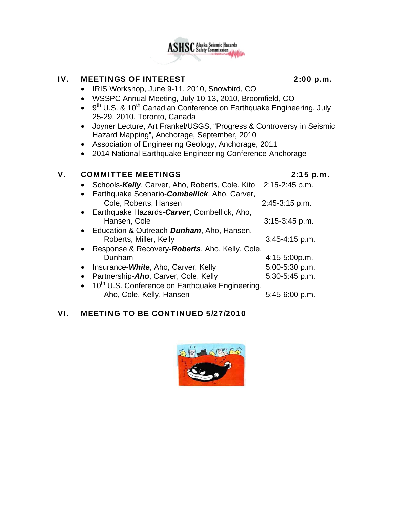

## IV. MEETINGS OF INTEREST 2:00 p.m.

- IRIS Workshop, June 9-11, 2010, Snowbird, CO
- WSSPC Annual Meeting, July 10-13, 2010, Broomfield, CO
- $\bullet$  9<sup>th</sup> U.S. & 10<sup>th</sup> Canadian Conference on Earthquake Engineering, July 25-29, 2010, Toronto, Canada
- Joyner Lecture, Art Frankel/USGS, "Progress & Controversy in Seismic Hazard Mapping", Anchorage, September, 2010
- Association of Engineering Geology, Anchorage, 2011
- 2014 National Earthquake Engineering Conference-Anchorage

# V. COMMITTEE MEETINGS 2:15 p.m.

| Schools-Kelly, Carver, Aho, Roberts, Cole, Kito               | 2:15-2:45 p.m.   |
|---------------------------------------------------------------|------------------|
| Earthquake Scenario-Combellick, Aho, Carver,                  |                  |
| Cole, Roberts, Hansen                                         | 2:45-3:15 p.m.   |
| • Earthquake Hazards-Carver, Combellick, Aho,                 |                  |
| Hansen, Cole                                                  | $3:15-3:45$ p.m. |
| Education & Outreach- <b>Dunham</b> , Aho, Hansen,            |                  |
| Roberts, Miller, Kelly                                        | $3:45-4:15$ p.m. |
| Response & Recovery- <b>Roberts</b> , Aho, Kelly, Cole,       |                  |
| Dunham                                                        | $4:15-5:00p.m.$  |
| Insurance-White, Aho, Carver, Kelly                           | 5:00-5:30 p.m.   |
| Partnership-Aho, Carver, Cole, Kelly                          | 5:30-5:45 p.m.   |
| • 10 <sup>th</sup> U.S. Conference on Earthquake Engineering, |                  |
| Aho, Cole, Kelly, Hansen                                      | 5:45-6:00 p.m.   |

## VI. MEETING TO BE CONTINUED 5/27/2010

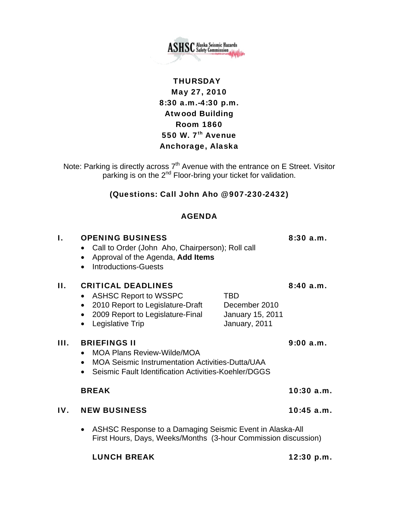

# **THURSDAY** May 27, 2010 8:30 a.m.-4:30 p.m. Atwood Building Room 1860 550 W.  $7<sup>th</sup>$  Avenue Anchorage, Alaska

Note: Parking is directly across  $7<sup>th</sup>$  Avenue with the entrance on E Street. Visitor parking is on the 2<sup>nd</sup> Floor-bring your ticket for validation.

# (Questions: Call John Aho @ 907-230-2432)

## AGENDA

# I. OPENING BUSINESS 8:30 a.m. • Call to Order (John Aho, Chairperson); Roll call • Approval of the Agenda, **Add Items** • Introductions-Guests II. CRITICAL DEADLINES 8:40 a.m. • ASHSC Report to WSSPC TBD • 2010 Report to Legislature-Draft December 2010 • 2009 Report to Legislature-Final January 15, 2011 • Legislative Trip **January**, 2011 III. BRIEFINGS II 9:00 a.m. • MOA Plans Review-Wilde/MOA • MOA Seismic Instrumentation Activities-Dutta/UAA • Seismic Fault Identification Activities-Koehler/DGGS

## BREAK 10:30 a.m.

## IV. NEW BUSINESS 10:45 a.m.

• ASHSC Response to a Damaging Seismic Event in Alaska-All First Hours, Days, Weeks/Months (3-hour Commission discussion)

LUNCH BREAK 12:30 p.m.